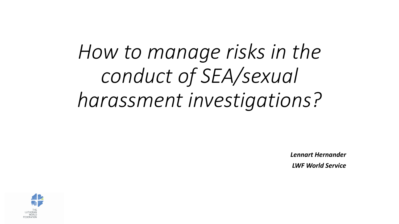## *How to manage risks in the conduct of SEA/sexual harassment investigations?*

*Lennart Hernander LWF World Service*

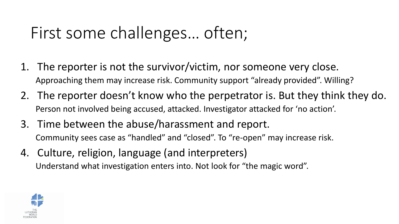## First some challenges… often;

- 1. The reporter is not the survivor/victim, nor someone very close. Approaching them may increase risk. Community support "already provided". Willing?
- 2. The reporter doesn't know who the perpetrator is. But they think they do. Person not involved being accused, attacked. Investigator attacked for 'no action'.
- 3. Time between the abuse/harassment and report. Community sees case as "handled" and "closed". To "re-open" may increase risk.
- 4. Culture, religion, language (and interpreters) Understand what investigation enters into. Not look for "the magic word".

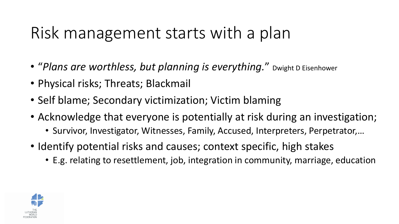## Risk management starts with a plan

- "*Plans are worthless, but planning is everything.*" Dwight D Eisenhower
- Physical risks; Threats; Blackmail
- Self blame; Secondary victimization; Victim blaming
- Acknowledge that everyone is potentially at risk during an investigation;
	- Survivor, Investigator, Witnesses, Family, Accused, Interpreters, Perpetrator,…
- Identify potential risks and causes; context specific, high stakes
	- E.g. relating to resettlement, job, integration in community, marriage, education